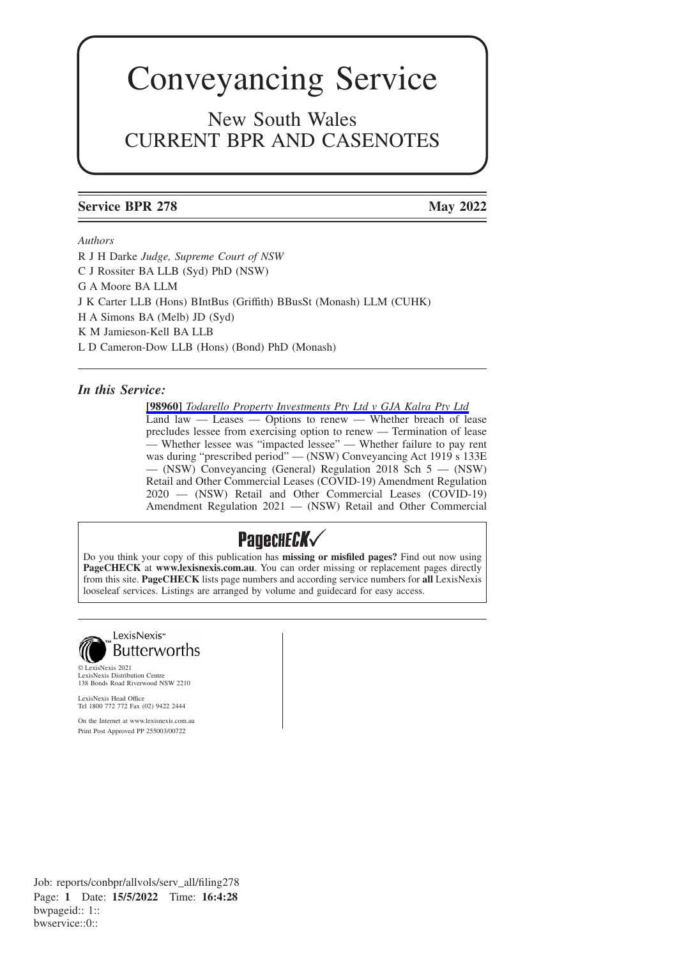# Conveyancing Service

New South Wales CURRENT BPR AND CASENOTES

## **Service BPR 278 May 2022**

### *Authors*

R J H Darke *Judge, Supreme Court of NSW* C J Rossiter BA LLB (Syd) PhD (NSW) G A Moore BA LLM J K Carter LLB (Hons) BIntBus (Griffith) BBusSt (Monash) LLM (CUHK) H A Simons BA (Melb) JD (Syd) K M Jamieson-Kell BA LLB L D Cameron-Dow LLB (Hons) (Bond) PhD (Monash)

### *In this Service:*

**[98960]** *[Todarello Property Investments Pty Ltd v GJA Kalra Pty Ltd](https://advance.lexis.com/api/permalink/27945ce0-4c35-4a44-af06-4e7dedf7a736/?context=1201008)* Land law — Leases — Options to renew — Whether breach of lease precludes lessee from exercising option to renew — Termination of lease — Whether lessee was "impacted lessee" — Whether failure to pay rent was during "prescribed period" — (NSW) Conveyancing Act 1919 s 133E — (NSW) Conveyancing (General) Regulation 2018 Sch 5 — (NSW) Retail and Other Commercial Leases (COVID-19) Amendment Regulation 2020 — (NSW) Retail and Other Commercial Leases (COVID-19) Amendment Regulation 2021 — (NSW) Retail and Other Commercial

# Padeche*ck*

Do you think your copy of this publication has **missing or misfiled pages?** Find out now using **PageCHECK** at **www.lexisnexis.com.au**. You can order missing or replacement pages directly from this site. **PageCHECK** lists page numbers and according service numbers for **all** LexisNexis looseleaf services. Listings are arranged by volume and guidecard for easy access.



© LexisNexis 2021 LexisNexis Distribution Centre 138 Bonds Road Riverwood NSW 2210

LexisNexis Head Office Tel 1800 772 772 Fax (02) 9422 2444

On the Internet at www.lexisnexis.com.au Print Post Approved PP 255003/00722

Job: reports/conbpr/allvols/serv\_all/filing278 Page: **1** Date: **15/5/2022** Time: **16:4:28** bwpageid:: 1:: bwservice::0::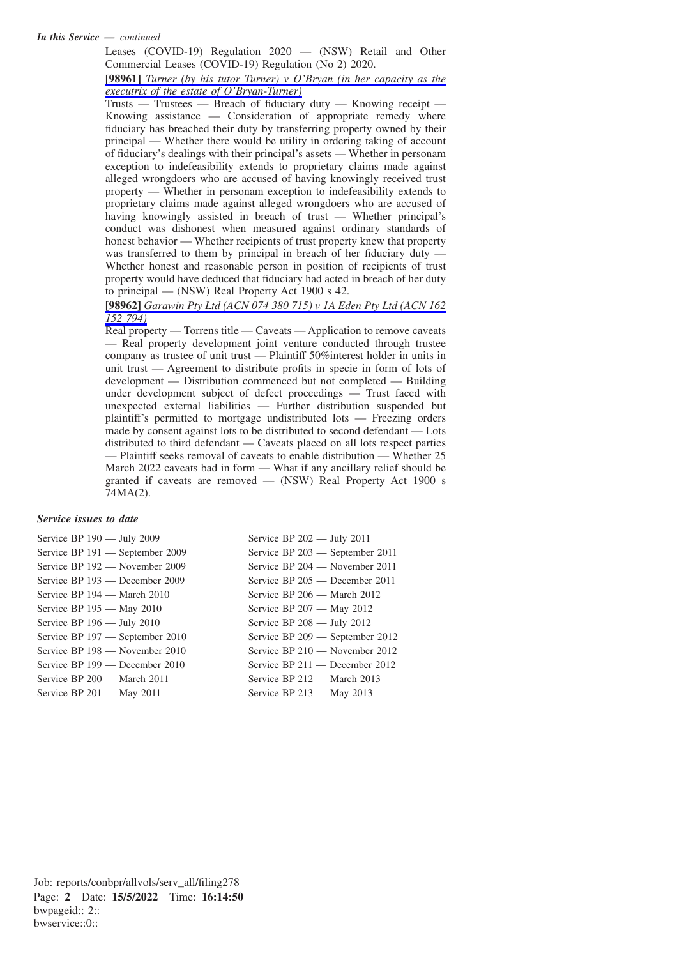#### *In this Service — continued*

Leases (COVID-19) Regulation 2020 — (NSW) Retail and Other Commercial Leases (COVID-19) Regulation (No 2) 2020.

**[98961]** *[Turner \(by his tutor Turner\) v O'Bryan \(in her capacity as the](https://advance.lexis.com/api/permalink/439afb86-1017-423b-8b93-2478aaa98840/?context=1201008) [executrix of the estate of O'Bryan-Turner\)](https://advance.lexis.com/api/permalink/439afb86-1017-423b-8b93-2478aaa98840/?context=1201008)*

Trusts — Trustees — Breach of fiduciary duty — Knowing receipt — Knowing assistance — Consideration of appropriate remedy where fiduciary has breached their duty by transferring property owned by their principal — Whether there would be utility in ordering taking of account of fiduciary's dealings with their principal's assets — Whether in personam exception to indefeasibility extends to proprietary claims made against alleged wrongdoers who are accused of having knowingly received trust property — Whether in personam exception to indefeasibility extends to proprietary claims made against alleged wrongdoers who are accused of having knowingly assisted in breach of trust — Whether principal's conduct was dishonest when measured against ordinary standards of honest behavior — Whether recipients of trust property knew that property was transferred to them by principal in breach of her fiduciary duty — Whether honest and reasonable person in position of recipients of trust property would have deduced that fiduciary had acted in breach of her duty to principal — (NSW) Real Property Act 1900 s 42.

**[98962]** *[Garawin Pty Ltd \(ACN 074 380 715\) v 1A Eden Pty Ltd \(ACN 162](https://advance.lexis.com/api/permalink/ba98b464-7722-4952-a29f-24fe82bb6e69/?context=1201008) [152 794\)](https://advance.lexis.com/api/permalink/ba98b464-7722-4952-a29f-24fe82bb6e69/?context=1201008)*

Real property — Torrens title — Caveats — Application to remove caveats — Real property development joint venture conducted through trustee company as trustee of unit trust — Plaintiff 50%interest holder in units in unit trust — Agreement to distribute profits in specie in form of lots of development — Distribution commenced but not completed — Building under development subject of defect proceedings — Trust faced with unexpected external liabilities — Further distribution suspended but plaintiff's permitted to mortgage undistributed lots — Freezing orders made by consent against lots to be distributed to second defendant — Lots distributed to third defendant — Caveats placed on all lots respect parties — Plaintiff seeks removal of caveats to enable distribution — Whether 25 March 2022 caveats bad in form — What if any ancillary relief should be granted if caveats are removed — (NSW) Real Property Act 1900 s 74MA(2).

#### *Service issues to date*

Service BP 190 — July 2009 Service BP 191 — September 2009 Service BP 192 — November 2009 Service BP 193 — December 2009 Service BP 194 — March 2010 Service BP 195 — May 2010 Service BP 196 — July 2010 Service BP 197 — September 2010 Service BP 198 — November 2010 Service BP 199 — December 2010 Service BP 200 — March 2011 Service BP 201 — May 2011

Service BP 202 — July 2011 Service BP 203 — September 2011 Service BP 204 — November 2011 Service BP 205 — December 2011 Service BP 206 — March 2012 Service BP 207 — May 2012 Service BP 208 — July 2012 Service BP 209 — September 2012 Service BP 210 — November 2012 Service BP 211 — December 2012 Service BP 212 — March 2013 Service BP 213 — May 2013

Job: reports/conbpr/allvols/serv\_all/filing278 Page: **2** Date: **15/5/2022** Time: **16:14:50** bwpageid:: 2:: bwservice::0::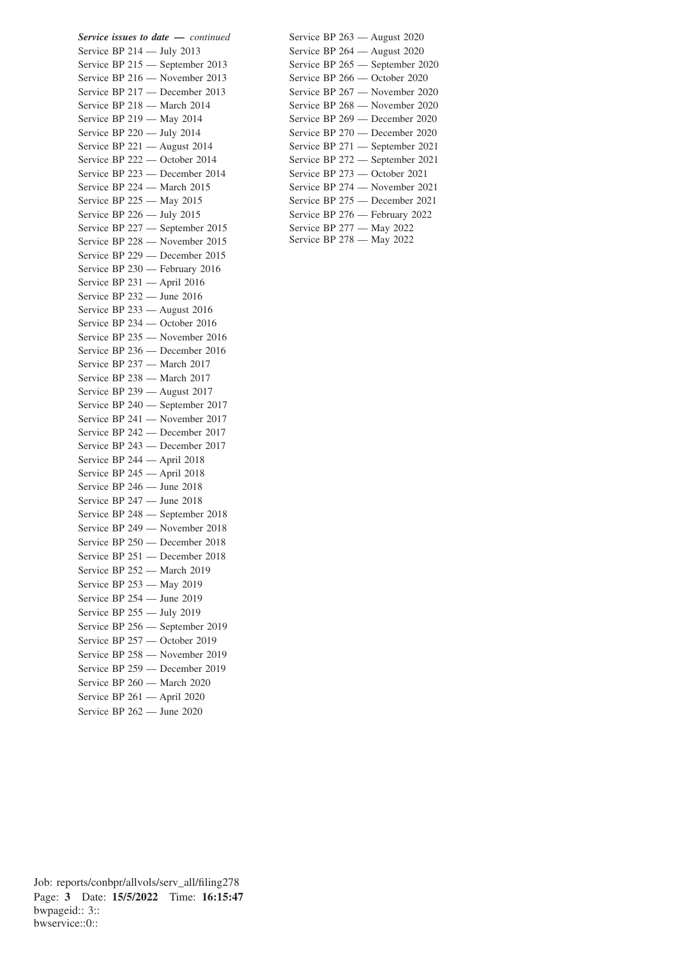*Service issues to date — continued* Service BP 214 — July 2013 Service BP 215 — September 2013 Service BP 216 — November 2013 Service BP 217 — December 2013 Service BP 218 — March 2014 Service BP 219 — May 2014 Service BP 220 — July 2014 Service BP 221 — August 2014 Service BP 222 — October 2014 Service BP 223 — December 2014 Service BP 224 — March 2015 Service BP 225 — May 2015 Service BP 226 — July 2015 Service BP 227 — September 2015 Service BP 228 — November 2015 Service BP 229 — December 2015 Service BP 230 — February 2016 Service BP 231 — April 2016 Service BP 232 — June 2016 Service BP 233 — August 2016 Service BP 234 — October 2016 Service BP 235 — November 2016 Service BP 236 — December 2016 Service BP 237 — March 2017 Service BP 238 — March 2017 Service BP 239 — August 2017 Service BP 240 — September 2017 Service BP 241 — November 2017 Service BP 242 — December 2017 Service BP 243 — December 2017 Service BP 244 — April 2018 Service BP 245 — April 2018 Service BP 246 — June 2018 Service BP 247 — June 2018 Service BP 248 — September 2018 Service BP 249 — November 2018 Service BP 250 — December 2018 Service BP 251 — December 2018 Service BP 252 — March 2019 Service BP 253 — May 2019 Service BP 254 — June 2019 Service BP 255 — July 2019 Service BP 256 — September 2019 Service BP 257 — October 2019 Service BP 258 — November 2019 Service BP 259 — December 2019 Service BP 260 — March 2020 Service BP 261 — April 2020 Service BP 262 — June 2020

| Service BP $263$ — August 2020  |
|---------------------------------|
| Service BP 264 - August 2020    |
| Service BP 265 - September 2020 |
| Service BP 266 - October 2020   |
| Service BP 267 - November 2020  |
| Service BP 268 - November 2020  |
| Service BP 269 - December 2020  |
| Service BP 270 - December 2020  |
| Service BP 271 - September 2021 |
| Service BP 272 - September 2021 |
| Service BP 273 - October 2021   |
| Service BP 274 - November 2021  |
| Service BP 275 - December 2021  |
| Service BP 276 - February 2022  |
| Service BP 277 - May 2022       |
| Service BP 278 - May 2022       |